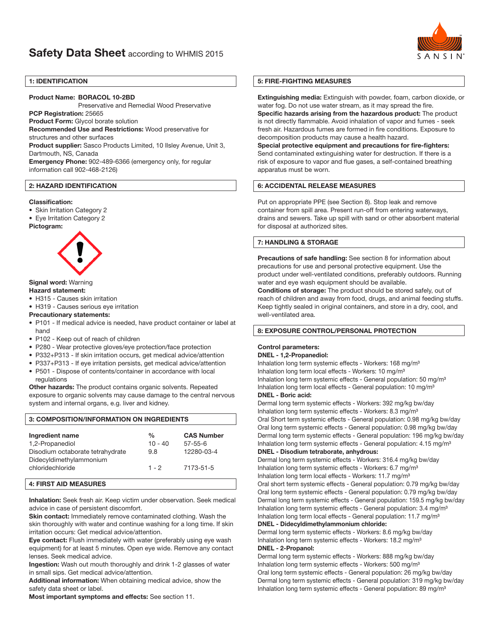

# 1: IDENTIFICATION

# Product Name: BORACOL 10-2BD

Preservative and Remedial Wood Preservative

PCP Registration: 25665

Product Form: Glycol borate solution

Recommended Use and Restrictions: Wood preservative for structures and other surfaces

Product supplier: Sasco Products Limited, 10 Ilsley Avenue, Unit 3, Dartmouth, NS, Canada

Emergency Phone: 902-489-6366 (emergency only, for regular information call 902-468-2126)

# 2: HAZARD IDENTIFICATION

#### Classification:

- Skin Irritation Category 2
- Eye Irritation Category 2

#### Pictogram:



# Signal word: Warning

Hazard statement:

- H315 Causes skin irritation
- H319 Causes serious eye irritation

#### Precautionary statements:

- P101 If medical advice is needed, have product container or label at hand
- P102 Keep out of reach of children
- P280 Wear protective gloves/eye protection/face protection
- P332+P313 If skin irritation occurs, get medical advice/attention
- P337+P313 If eye irritation persists, get medical advice/attention
- P501 Dispose of contents/container in accordance with local regulations

**Other hazards:** The product contains organic solvents. Repeated exposure to organic solvents may cause damage to the central nervous system and internal organs, e.g. liver and kidney.

# 3: COMPOSITION/INFORMATION ON INGREDIENTS

| Ingredient name<br>1,2-Propanediol                          | $\frac{0}{0}$<br>$10 - 40$ | <b>CAS Number</b><br>$57 - 55 - 6$ |
|-------------------------------------------------------------|----------------------------|------------------------------------|
| Disodium octaborate tetrahydrate<br>Didecyldimethylammonium | 9.8                        | 12280-03-4                         |
| chloridechloride                                            | $1 - 2$                    | 7173-51-5                          |

# 4: FIRST AID MEASURES

Inhalation: Seek fresh air. Keep victim under observation. Seek medical advice in case of persistent discomfort.

Skin contact: Immediately remove contaminated clothing. Wash the skin thoroughly with water and continue washing for a long time. If skin irritation occurs: Get medical advice/attention.

Eye contact: Flush immediately with water (preferably using eye wash equipment) for at least 5 minutes. Open eye wide. Remove any contact lenses. Seek medical advice.

Ingestion: Wash out mouth thoroughly and drink 1-2 glasses of water in small sips. Get medical advice/attention.

Additional information: When obtaining medical advice, show the safety data sheet or label.

Most important symptoms and effects: See section 11.

# 5: FIRE-FIGHTING MEASURES

Extinguishing media: Extinguish with powder, foam, carbon dioxide, or water fog. Do not use water stream, as it may spread the fire.

Specific hazards arising from the hazardous product: The product is not directly flammable. Avoid inhalation of vapor and fumes - seek fresh air. Hazardous fumes are formed in fire conditions. Exposure to decomposition products may cause a health hazard.

Special protective equipment and precautions for fire-fighters: Send contaminated extinguishing water for destruction. If there is a risk of exposure to vapor and flue gases, a self-contained breathing apparatus must be worn.

## 6: ACCIDENTAL RELEASE MEASURES

Put on appropriate PPE (see Section 8). Stop leak and remove container from spill area. Present run-off from entering waterways, drains and sewers. Take up spill with sand or other absorbent material for disposal at authorized sites.

# 7: HANDLING & STORAGE

Precautions of safe handling: See section 8 for information about precautions for use and personal protective equipment. Use the product under well-ventilated conditions, preferably outdoors. Running water and eye wash equipment should be available.

Conditions of storage: The product should be stored safely, out of reach of children and away from food, drugs, and animal feeding stuffs. Keep tightly sealed in original containers, and store in a dry, cool, and well-ventilated area.

## 8: EXPOSURE CONTROL/PERSONAL PROTECTION

## Control parameters:

#### DNEL - 1,2-Propanediol:

Inhalation long term systemic effects - Workers: 168 mg/m<sup>3</sup> Inhalation long term local effects - Workers: 10 mg/m<sup>3</sup> Inhalation long term systemic effects - General population: 50 mg/m<sup>3</sup> Inhalation long term local effects - General population: 10 mg/m<sup>3</sup> DNEL - Boric acid:

Dermal long term systemic effects - Workers: 392 mg/kg bw/day Inhalation long term systemic effects - Workers: 8.3 mg/m<sup>3</sup> Oral Short term systemic effects - General population: 0.98 mg/kg bw/day Oral long term systemic effects - General population: 0.98 mg/kg bw/day Dermal long term systemic effects - General population: 196 mg/kg bw/day Inhalation long term systemic effects - General population: 4.15 mg/m<sup>3</sup> DNEL - Disodium tetraborate, anhydrous:

Dermal long term systemic effects - Workers: 316.4 mg/kg bw/day

Inhalation long term systemic effects - Workers: 6.7 mg/m<sup>3</sup>

Inhalation long term local effects - Workers: 11.7 mg/m<sup>3</sup>

Oral short term systemic effects - General population: 0.79 mg/kg bw/day Oral long term systemic effects - General population: 0.79 mg/kg bw/day Dermal long term systemic effects - General population: 159.5 mg/kg bw/day Inhalation long term systemic effects - General population: 3.4 mg/m<sup>3</sup> Inhalation long term local effects - General population: 11.7 mg/m<sup>3</sup>

#### DNEL - Didecyldimethylammonium chloride:

Dermal long term systemic effects - Workers: 8.6 mg/kg bw/day Inhalation long term systemic effects - Workers: 18.2 mg/m<sup>3</sup> DNEL - 2-Propanol:

Dermal long term systemic effects - Workers: 888 mg/kg bw/day Inhalation long term systemic effects - Workers: 500 mg/m<sup>3</sup> Oral long term systemic effects - General population: 26 mg/kg bw/day Dermal long term systemic effects - General population: 319 mg/kg bw/day Inhalation long term systemic effects - General population: 89 mg/m<sup>3</sup>